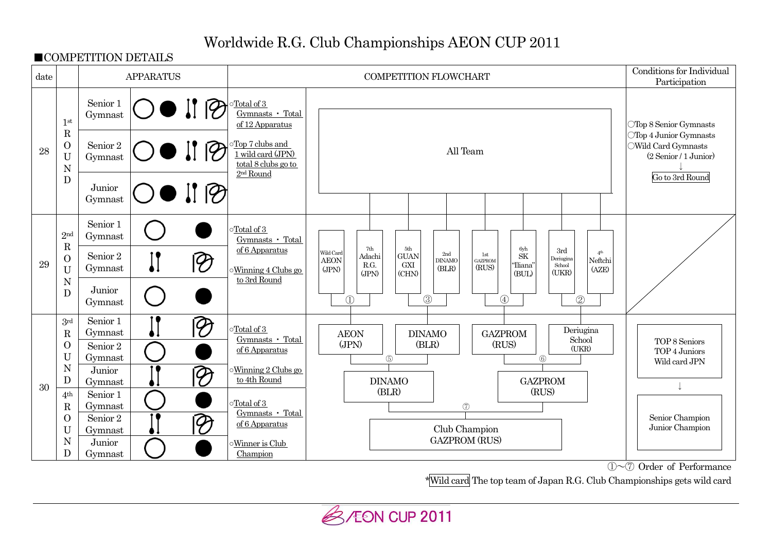# Worldwide R.G. Club Championships AEON CUP 2011

■COMPETITION DETAILS



①~⑦ Order of Performance

\*Wild card The top team of Japan R.G. Club Championships gets wild card

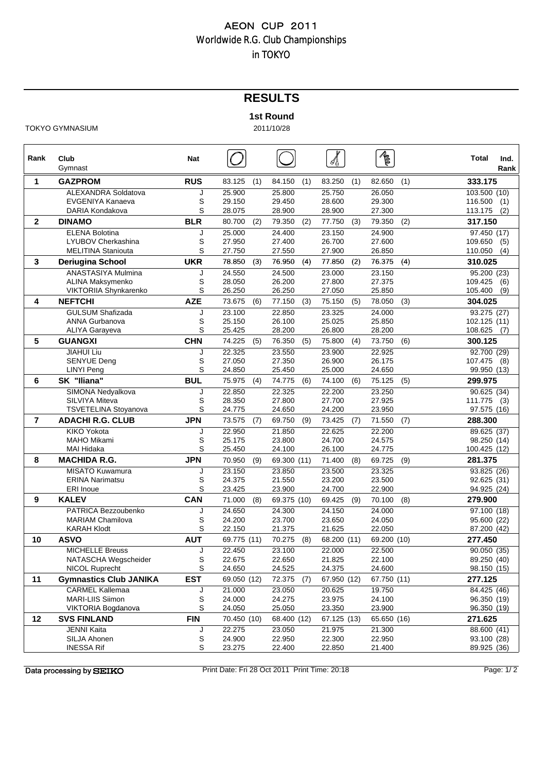## **RESULTS**

#### **1st Round**

TOKYO GYMNASIUM 2011/10/28

**Rank Club Nat Total Ind.** Gymnast **Rank 1 GAZPROM RUS** 83.125 (1) 84.150 (1) 83.250 (1) 82.650 (1) **333.175** ALEXANDRA Soldatova J 25.900 25.800 25.750 26.050 103.500 (10) EVGENIYA Kanaeva S 29.150 29.450 28.600 29.300 116.500 (1) DARIA Kondakova S 28.075 28.900 28.900 27.300 113.175 (2) **2 DINAMO BLR** 80.700 (2) 79.350 (2) 77.750 (3) 79.350 (2) **317.150** ELENA Bolotina J 25.000 24.400 23.150 24.900 97.450 (17) LYUBOV Cherkashina S 27.950 27.400 26.700 27.600 109.650 (5) MELITINA Staniouta S 27.750 27.550 27.900 26.850 110.050 (4) **3 Deriugina School Deriugina UKR** 78 850 . (3) 76 950 . (4) 77 850 . (2) 76 375 . (4) **310 025 310.025** ANASTASIYA Mulmina J 24.550 24.500 23.000 23.150 95.200 (23) ALINA Maksymenko S 28.050 26.200 27.800 27.375 109.425 (6) VIKTORIIA Shynkarenko S 26.250 26.250 27.050 25.850 105.400 (9) **4 NEFTCHI AZE** 73.675 (6) 77.150 (3) 75.150 (5) 78.050 (3) **304.025** GULSUM Shafizada J 23.100 22.850 23.325 24.000 93.275 (27) ANNA Gurbanova S 25.150 26.100 25.025 25.850 102.125 (11) ALIYA Garayeva S 25.425 28.200 26.800 28.200 108.625 (7) **5 GUANGXI CHN** 74.225 (5) 76.350 (5) 75.800 (4) 73.750 (6) **300.125** JIAHUI Li Liu J 22.325 23.550 23.900 22.925 J 22 325 23 550 23 900 22 92592.700 (29) 92 700 SENYUE Deng S 27.050 27.350 26.900 26.175 107.475 (8) LINYI Peng S 24.850 25.450 25.000 24.650 99.950 (13) **6 SK "Iliana" BUL** 75.975 (4) 74.775 (6) 74.100 (6) 75.125 (5) **299.975** SIMONA Nedyalkova **J** 22.850 22.325 22.200 23.250 90.625 (34) SILVIYA Miteva S 28.350 27.800 27.700 27.925 111.775 (3) TSVETELINA Stoyanova  $S = 24.775$  24.650 24.200 23.950 **7 ADACHI R.G. CLUB JPN** 73.575 (7) 69.750 (9) 73.425 (7) 71.550 (7) **288.300** KIKO Yokota J 22.950 21.850 22.625 22.200 89.625 (37) MAHO Mikami S 25.175 23.800 24.700 24.575 98.250 (14) MAI Hidaka S 25.450 24.100 26.100 24.775 100.425 (12) **8 MACHIDA R.G. JPN** 70.950 (9) 69.300 (11) 71.400 (8) 69.725 (9) **281.375** MISATO Kuwamura J 23.150 23.850 23.500 23.325 93.825 (26) ERINA Narimatsu S 24.375 21.550 23.200 23.500 92.625 (31) ERI Inoue S 23.425 23.900 24.700 22.900 94.925 (24) **9 KALEV CAN** 71.000 (8) 69.375 (10) 69.425 (9) 70.100 (8) **279.900** PATRICA Bezzoubenko J 24.650 24.300 24.150 24.000 97.100 (18) MARIAM Chamilova S 24.200 23.700 23.650 24.050 95.600 (22) KARAH Klodt S 22.150 21.375 21.625 22.050 87.200 (42) **10 ASVO AUT** 69.775 (11) 70.275 (8) 68.200 (11) 69.200 (10) **277.450** MICHELLE Breuss J 22.450 23.100 22.000 22.500 90.050 (35) NATASCHA Wegscheider  $\begin{array}{ccc} S & 22.675 & 22.650 & 21.825 \end{array}$ NICOL Ruprecht S 24.650 24.525 24.375 24.600 98.150 (15) **11 Gymnastics Club JANIKA EST** 69.050 (12) 72.375 (7) 67.950 (12) 67.750 (11) **277.125** CARMEL Kallemaa J 21.000 23.050 20.625 19.750 84.425 (46) MARI-LIIS Siimon S 24.000 24.275 23.975 24.100 96.350 (19) VIKTORIA Bogdanova **12 SVS FINLAND FIN** 70.450 (10) 68.400 (12) 67.125 (13) 65.650 (16) **271.625** JENNI Kaita J 22.275 23.050 21.975 21.300 88.600 (41) SILJA Ahonen S 24.900 22.950 22.300 22.950 93.100 (28) INESSA Rif S 23.275 22.400 22.850 21.400 89.925 (36)

Data processing by SEIKO

Print Date: Fri 28 Oct 2011 Print Time: 20:18 Page: 1/ 2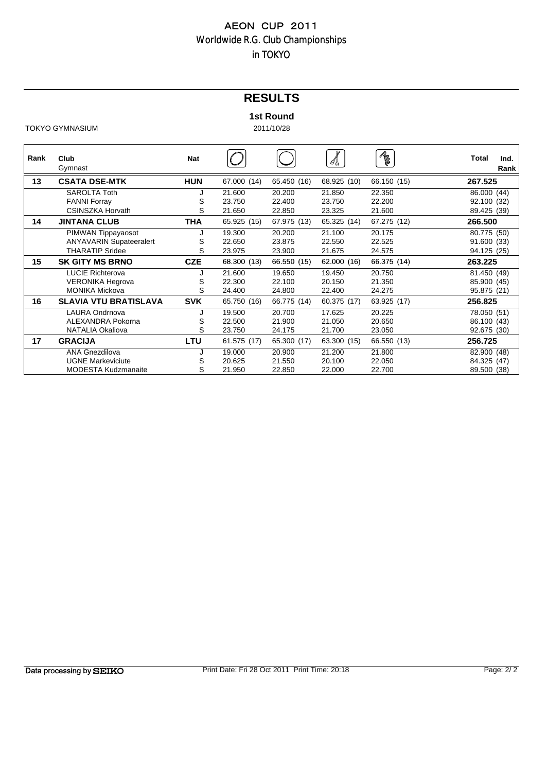## **RESULTS**

#### **1st Round**

TOKYO GYMNASIUM 2011/10/28

| Rank | Club<br>Gymnast                | <b>Nat</b> |             |             | ≪∄          | R           | <b>Total</b> | Ind.<br>Rank |
|------|--------------------------------|------------|-------------|-------------|-------------|-------------|--------------|--------------|
| 13   | <b>CSATA DSE-MTK</b>           | <b>HUN</b> | 67.000 (14) | 65.450 (16) | 68.925 (10) | 66.150 (15) | 267.525      |              |
|      | <b>SAROLTA Toth</b>            |            | 21.600      | 20.200      | 21.850      | 22.350      | 86.000 (44)  |              |
|      | <b>FANNI Forray</b>            | S          | 23.750      | 22.400      | 23.750      | 22.200      | 92.100 (32)  |              |
|      | <b>CSINSZKA Horvath</b>        | S          | 21.650      | 22.850      | 23.325      | 21.600      | 89.425 (39)  |              |
| 14   | <b>JINTANA CLUB</b>            | THA        | 65.925 (15) | 67.975 (13) | 65.325 (14) | 67.275 (12) | 266,500      |              |
|      | PIMWAN Tippayaosot             |            | 19.300      | 20.200      | 21.100      | 20.175      | 80.775 (50)  |              |
|      | <b>ANYAVARIN Supateeralert</b> | S          | 22.650      | 23.875      | 22.550      | 22.525      | 91.600 (33)  |              |
|      | <b>THARATIP Sridee</b>         | S          | 23.975      | 23.900      | 21.675      | 24.575      | 94.125 (25)  |              |
| 15   | <b>SK GITY MS BRNO</b>         | <b>CZE</b> | 68.300 (13) | 66.550 (15) | 62.000 (16) | 66.375 (14) | 263.225      |              |
|      | <b>LUCIE Richterova</b>        |            | 21.600      | 19.650      | 19.450      | 20.750      | 81.450 (49)  |              |
|      | <b>VERONIKA Hegrova</b>        | S          | 22.300      | 22.100      | 20.150      | 21.350      | 85.900 (45)  |              |
|      | <b>MONIKA Mickova</b>          | S          | 24.400      | 24.800      | 22.400      | 24.275      | 95.875 (21)  |              |
| 16   | <b>SLAVIA VTU BRATISLAVA</b>   | <b>SVK</b> | 65.750 (16) | 66.775 (14) | 60.375 (17) | 63.925 (17) | 256.825      |              |
|      | <b>LAURA Ondrnova</b>          |            | 19.500      | 20.700      | 17.625      | 20.225      | 78.050 (51)  |              |
|      | ALEXANDRA Pokorna              | S          | 22.500      | 21.900      | 21.050      | 20.650      | 86.100 (43)  |              |
|      | NATALIA Okaliova               | S          | 23.750      | 24.175      | 21.700      | 23.050      | 92.675 (30)  |              |
| 17   | <b>GRACIJA</b>                 | LTU        | 61.575 (17) | 65.300 (17) | 63.300 (15) | 66.550 (13) | 256.725      |              |
|      | <b>ANA Gnezdilova</b>          |            | 19.000      | 20.900      | 21.200      | 21.800      | 82.900 (48)  |              |
|      | <b>UGNE Markeviciute</b>       | S          | 20.625      | 21.550      | 20.100      | 22.050      | 84.325 (47)  |              |
|      | <b>MODESTA Kudzmanaite</b>     | S          | 21.950      | 22.850      | 22.000      | 22.700      | 89.500 (38)  |              |

Data processing by SEIKO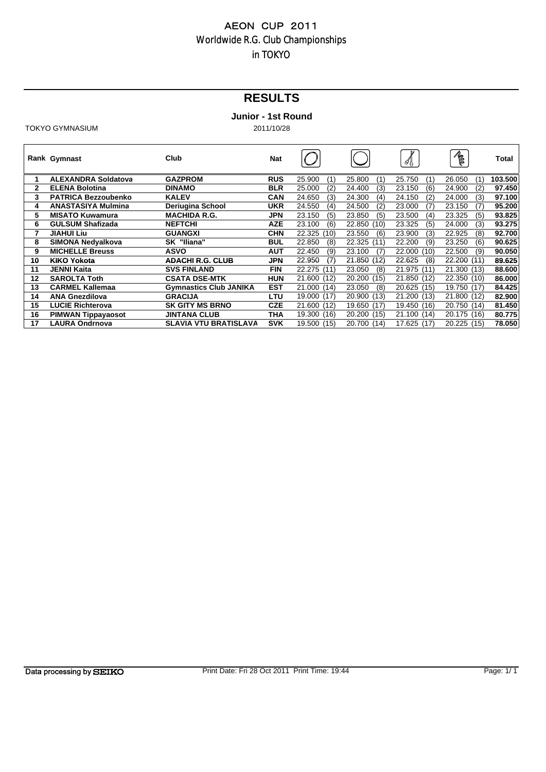# **RESULTS**

### **Junior - 1st Round**

|    | Rank Gymnast               | Club                          | Nat        |                |                | 4              | RE             | Total   |
|----|----------------------------|-------------------------------|------------|----------------|----------------|----------------|----------------|---------|
| 1  | <b>ALEXANDRA Soldatova</b> | <b>GAZPROM</b>                | <b>RUS</b> | 25.900<br>(1)  | 25.800<br>(1)  | 25.750<br>(1)  | 26.050<br>(1)  | 103.500 |
| 2  | <b>ELENA Bolotina</b>      | <b>DINAMO</b>                 | <b>BLR</b> | 25.000<br>(2)  | 24.400<br>(3)  | 23.150<br>(6)  | 24.900<br>(2)  | 97.450  |
| 3  | <b>PATRICA Bezzoubenko</b> | <b>KALEV</b>                  | <b>CAN</b> | 24.650<br>(3)  | 24.300<br>(4)  | 24.150<br>(2)  | 24.000<br>(3)  | 97.100  |
| 4  | <b>ANASTASIYA Mulmina</b>  | Deriugina School              | <b>UKR</b> | 24.550<br>(4)  | 24.500<br>(2)  | 23.000<br>(7)  | 23.150<br>(7)  | 95.200  |
| 5  | <b>MISATO Kuwamura</b>     | <b>MACHIDA R.G.</b>           | JPN        | 23.150<br>(5)  | 23.850<br>(5)  | 23.500<br>(4)  | 23.325<br>(5)  | 93.825  |
| 6  | <b>GULSUM Shafizada</b>    | <b>NEFTCHI</b>                | <b>AZE</b> | 23.100<br>(6)  | 22.850<br>(10) | 23.325<br>(5)  | 24.000<br>(3)  | 93.275  |
| 7  | <b>JIAHUI Liu</b>          | <b>GUANGXI</b>                | <b>CHN</b> | 22.325<br>(10) | 23.550<br>(6)  | 23.900<br>(3)  | 22.925<br>(8)  | 92.700  |
| 8  | SIMONA Nedvalkova          | SK "Iliana"                   | <b>BUL</b> | 22.850<br>(8)  | 22.325<br>(11) | 22.200<br>(9)  | 23.250<br>(6)  | 90.625  |
| 9  | <b>MICHELLE Breuss</b>     | <b>ASVO</b>                   | <b>AUT</b> | 22.450<br>(9)  | 23.100<br>(7)  | 22.000<br>(10) | 22.500<br>(9)  | 90.050  |
| 10 | KIKO Yokota                | <b>ADACHI R.G. CLUB</b>       | JPN        | 22.950<br>(7)  | 21.850<br>(12) | 22.625<br>(8)  | 22.200 (11)    | 89.625  |
| 11 | <b>JENNI Kaita</b>         | <b>SVS FINLAND</b>            | <b>FIN</b> | 22.275 (11)    | 23.050<br>(8)  | 21.975<br>(11) | 21.300 (13)    | 88,600  |
| 12 | <b>SAROLTA Toth</b>        | <b>CSATA DSE-MTK</b>          | <b>HUN</b> | 21.600 (12)    | 20,200<br>(15) | 21.850<br>(12) | 22.350 (10)    | 86,000  |
| 13 | <b>CARMEL Kallemaa</b>     | <b>Gymnastics Club JANIKA</b> | <b>EST</b> | 21.000 (14)    | 23.050<br>(8)  | 20.625 (15)    | 19.750 (17)    | 84.425  |
| 14 | <b>ANA Gnezdilova</b>      | <b>GRACIJA</b>                | LTU        | 19.000 (17)    | 20.900<br>(13) | 21.200<br>(13) | 21.800<br>(12) | 82.900  |
| 15 | LUCIE Richterova           | <b>SK GITY MS BRNO</b>        | <b>CZE</b> | 21.600 (12)    | 19.650<br>(17) | 19.450<br>(16) | 20.750 (14)    | 81.450  |
| 16 | <b>PIMWAN Tippayaosot</b>  | <b>JINTANA CLUB</b>           | THA        | 19.300 (16)    | 20.200<br>(15) | 21.100<br>(14) | 20.175 (16)    | 80.775  |
| 17 | <b>LAURA Ondrnova</b>      | <b>SLAVIA VTU BRATISLAVA</b>  | <b>SVK</b> | 19.500 (15)    | 20.700<br>(14) | 17.625<br>(17) | 20.225<br>(15) | 78.050  |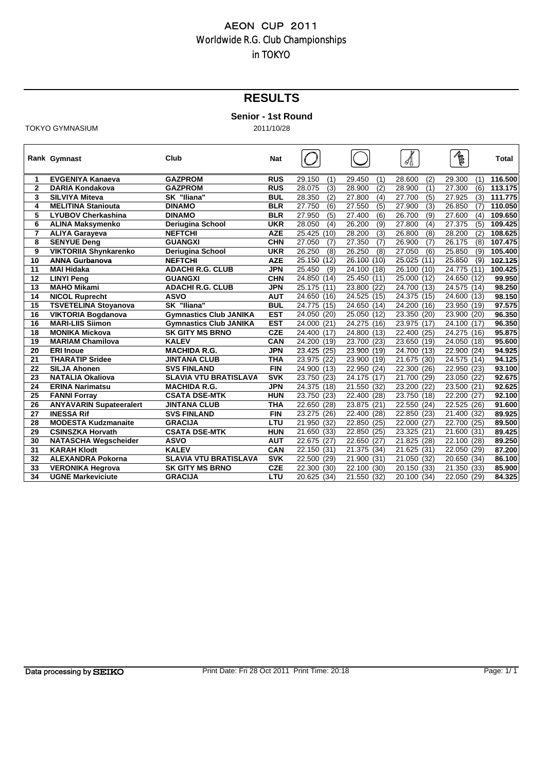## **RESULTS**

#### **Senior - 1st Round**

**Rank** Gymnast **Club Nat**  $\begin{bmatrix} 1 & 1 \end{bmatrix}$   $\begin{bmatrix} 1 & 1 \end{bmatrix}$   $\begin{bmatrix} 1 & 1 \end{bmatrix}$  and  $\begin{bmatrix} 1 & 1 \end{bmatrix}$  and  $\begin{bmatrix} 1 & 1 \end{bmatrix}$  and  $\begin{bmatrix} 1 & 1 \end{bmatrix}$  and  $\begin{bmatrix} 1 & 1 \end{bmatrix}$  and  $\begin{bmatrix} 1 & 1 \end{bmatrix}$  and  $\begin{bmatrix} 1$ **1 EVGENIYA Kanaeva GAZPROM RUS** 29.150 (1) 29.450 (1) 28.600 (2) 29.300 (1) **116.500 2 DARIA Kondakova GAZPROM RUS** 28.075 (3) 28.900 (2) 28.900 (1) 27.300 (6) **113.175 3 SILVIYA Miteva SK "Iliana" BUL** 28.350 (2) 27.800 (4) 27.700 (5) 27.925 (3) **111.775 4 MELITINA Staniouta DINAMO BLR** 27.750 (6) 27.550 (5) 27.900 (3) 26.850 (7) **110.050 5 LYUBOV Cherkashina DINAMO BLR** 27.950 (5) 27.400 (6) 26.700 (9) 27.600 (4) **109.650 6 ALINA Maksymenko Deriugina School UKR** 28.050 (4) 26.200 (9) 27.800 (4) 27.375 (5) **109.425 7 ALIYA Garayeva NEFTCHI AZE** 25.425 (10) 28.200 (3) 26.800 (8) 28.200 (2) **108.625 8 SENYUE Deng GUANGXI CHN** 27.050 (7) 27.350 (7) 26.900 (7) 26.175 (8) **107.475 9 VIKTORIIA Shynkarenko Deriugina School UKR** 26.250 (8) 26.250 (8) 27.050 (6) 25.850 (9) **105.400 10 ANNA Gurbanova ANNA NEFTCHI AZE** 25.150 (12) 26.100 (10) 25.025 (11) 25.850 (9) **102.125 11 MAI Hidaka ADACHI R.G. CLUB JPN** 25.450 (9) 24.100 (18) 26.100 (10) 24.775 (11) **100.425 12 LINYI Peng GUANGXI CHN** 24.850 (14) 25.450 (11) 25.000 (12) 24.650 (12) **99.950 13 MAHO Mikami ADACHI R.G. CLUB JPN** 25.175 (11) 23.800 (22) 24.700 (13) 24.575 (14) **98.250 14 NICOL Ruprecht ASVO AUT** 24.650 (16) 24.525 (15) 24.375 (15) 24.600 (13) **98.150 15 TSVETELINA Stoyanova SK "Iliana" BUL** 24.775 (15) 24.650 (14) 24.200 (16) 23.950 (19) **97.575 16 VIKTORIA Bogdanova Gymnastics Club JANIKA EST** 24.050 (20) 25.050 (12) 23.350 (20) 23.900 (20) **96.350 16 MARI-LIIS Siimon Gymnastics Club JANIKA EST** 24.000 (21) 24.275 (16) 23.975 (17) 24.100 (17) **96.350 18 MONIKA Mickova SK GITY MS BRNO CZE** 24.400 (17) 24.800 (13) 22.400 (25) 24.275 (16) **95.875 19 MARIAM Chamilova KALEV CAN** 24.200 (19) 23.700 (23) 23.650 (19) 24.050 (18) **95.600 20 ERI Inoue ERI MACHIDA R G MACHIDA R.G. JPN** 23 425 . (25) 23 900 . (19) 24 700 . (13) 22 900 . (24) **94 925 . 21 THARATIP Sridee JINTANA CLUB THA** 23.975 (22) 23.900 (19) 21.675 (30) 24.575 (14) **94.125 22 SILJA Ahonen SVS FINLAND FIN** 24.900 (13) 22.950 (24) 22.300 (26) 22.950 (23) **93.100 23 NATALIA Okaliova SLAVIA VTU BRATISLAVA SVK** 23.750 (23) 24.175 (17) 21.700 (29) 23.050 (22) **92.675 22 ERINA Narimatsur 25 FANNI Forray CSATA DSE-MTK HUN** 23.750 (23) 22.400 (28) 23.750 (18) 22.200 (27) **92.100 26 ANYAVARIN Supateeralert JINTANA CLUB THA** 22.650 (28) 23.875 (21) 22.550 (24) 22.525 (26) **91.600 27 INESSA Rif SVS FINLAND FIN** 23.275 (26) 22.400 (28) 22.850 (23) 21.400 (32) **89.925 28 MODESTA Kudzmanaite GRACIJA LTU** 21.950 (32) 22.850 (25) 22.000 (27) 22.700 (25) **89.500 29 CSINSZKA Horvath CSATA DSE-MTK HUN** 21.650 (33) 22.850 (25) 23.325 (21) 21.600 (31) ( ) ( ) ( ) ( )**89.425 30 NATASCHA Wegscheider ASVO AUT** 22.675 (27) 22.650 (27) 21.825 (28) 22.100 (28) **89.250 31 KARAH Klodt KALEV CAN** 22.150 (31) 21.375 (34) 21.625 (31) 22.050 (29) **87.200 32 ALEXANDRA Pokorna SLAVIA VTU BRATISLAVA SVK** 22.500 (29) 21.900 (31) 21.050 (32) 20.650 (34) **86.100 33 VERONIKA Hegrova SK GITY MS BRNO CZE** 22.300 (30) 22.100 (30) 20.150 (33) 21.350 (33) **85.900 34 UGNE Markeviciute GRACIJA LTU** 20.625 (34) 21.550 (32) 20.100 (34) 22.050 (29) **84.325**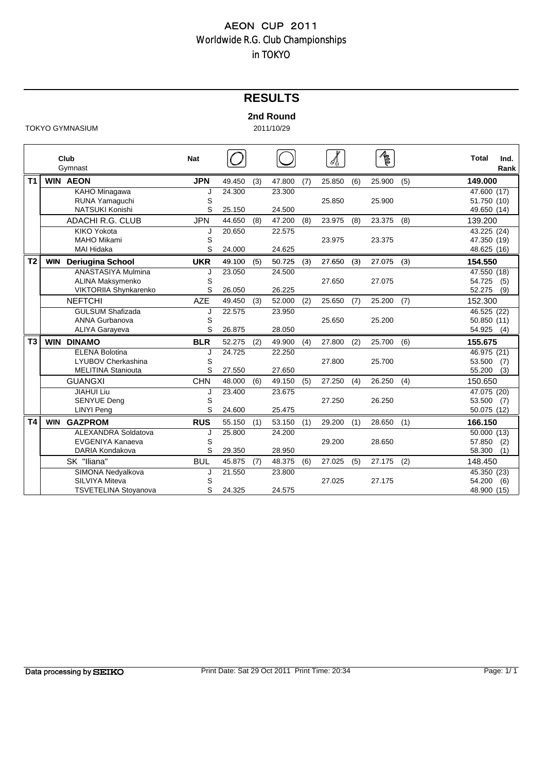## **RESULTS**

#### **2nd Round**

|                |            | Club<br>Gymnast             | <b>Nat</b> |        |     |        |     |        |     | $\mathbb{Z}_{\frac{1}{2}}$ |     | <b>Total</b>             | Ind.<br>Rank |
|----------------|------------|-----------------------------|------------|--------|-----|--------|-----|--------|-----|----------------------------|-----|--------------------------|--------------|
| T <sub>1</sub> |            | <b>WIN AEON</b>             | <b>JPN</b> | 49.450 | (3) | 47.800 | (7) | 25.850 | (6) | 25.900                     | (5) | 149.000                  |              |
|                |            | KAHO Minagawa               | J          | 24.300 |     | 23.300 |     |        |     |                            |     | $\overline{47.600}$ (17) |              |
|                |            | RUNA Yamaguchi              | S          |        |     |        |     | 25.850 |     | 25.900                     |     | 51.750 (10)              |              |
|                |            | <b>NATSUKI Konishi</b>      | S          | 25.150 |     | 24.500 |     |        |     |                            |     | 49.650 (14)              |              |
|                |            | <b>ADACHI R.G. CLUB</b>     | <b>JPN</b> | 44.650 | (8) | 47.200 | (8) | 23.975 | (8) | 23.375                     | (8) | 139.200                  |              |
|                |            | <b>KIKO Yokota</b>          | J          | 20.650 |     | 22.575 |     |        |     |                            |     | 43.225 (24)              |              |
|                |            | <b>MAHO Mikami</b>          | S          |        |     |        |     | 23.975 |     | 23.375                     |     | 47.350 (19)              |              |
|                |            | MAI Hidaka                  | S          | 24.000 |     | 24.625 |     |        |     |                            |     | 48.625 (16)              |              |
| T <sub>2</sub> | <b>WIN</b> | <b>Deriugina School</b>     | <b>UKR</b> | 49.100 | (5) | 50.725 | (3) | 27.650 | (3) | 27.075                     | (3) | 154.550                  |              |
|                |            | ANASTASIYA Mulmina          | J          | 23.050 |     | 24.500 |     |        |     |                            |     | 47.550 (18)              |              |
|                |            | ALINA Maksymenko            | S          |        |     |        |     | 27.650 |     | 27.075                     |     | 54.725                   | (5)          |
|                |            | VIKTORIIA Shynkarenko       | S          | 26.050 |     | 26.225 |     |        |     |                            |     | 52.275                   | (9)          |
|                |            | <b>NEFTCHI</b>              | <b>AZE</b> | 49.450 | (3) | 52.000 | (2) | 25.650 | (7) | 25.200                     | (7) | 152.300                  |              |
|                |            | <b>GULSUM Shafizada</b>     | J          | 22.575 |     | 23.950 |     |        |     |                            |     | 46.525 (22)              |              |
|                |            | ANNA Gurbanova              | S          |        |     |        |     | 25.650 |     | 25.200                     |     | 50.850 (11)              |              |
|                |            | <b>ALIYA Garayeva</b>       | S          | 26.875 |     | 28.050 |     |        |     |                            |     | 54.925                   | (4)          |
| T <sub>3</sub> | <b>WIN</b> | <b>DINAMO</b>               | <b>BLR</b> | 52.275 | (2) | 49.900 | (4) | 27.800 | (2) | 25.700                     | (6) | 155.675                  |              |
|                |            | <b>ELENA Bolotina</b>       | J          | 24.725 |     | 22.250 |     |        |     |                            |     | $\overline{46.975}$ (21) |              |
|                |            | <b>LYUBOV Cherkashina</b>   | S          |        |     |        |     | 27.800 |     | 25.700                     |     | 53.500                   | (7)          |
|                |            | <b>MELITINA Staniouta</b>   | S          | 27.550 |     | 27.650 |     |        |     |                            |     | 55.200                   | (3)          |
|                |            | <b>GUANGXI</b>              | <b>CHN</b> | 48.000 | (6) | 49.150 | (5) | 27.250 | (4) | 26.250                     | (4) | 150.650                  |              |
|                |            | <b>JIAHUI Liu</b>           | J          | 23.400 |     | 23.675 |     |        |     |                            |     | 47.075 (20)              |              |
|                |            | <b>SENYUE Deng</b>          | S          |        |     |        |     | 27.250 |     | 26.250                     |     | 53.500                   | (7)          |
|                |            | <b>LINYI Peng</b>           | S          | 24.600 |     | 25.475 |     |        |     |                            |     | 50.075 (12)              |              |
| T4             | <b>WIN</b> | <b>GAZPROM</b>              | <b>RUS</b> | 55.150 | (1) | 53.150 | (1) | 29.200 | (1) | 28.650                     | (1) | 166.150                  |              |
|                |            | <b>ALEXANDRA Soldatova</b>  | J          | 25.800 |     | 24.200 |     |        |     |                            |     | 50.000 (13)              |              |
|                |            | EVGENIYA Kanaeva            | S          |        |     |        |     | 29.200 |     | 28.650                     |     | 57.850                   | (2)          |
|                |            | DARIA Kondakova             | S          | 29.350 |     | 28.950 |     |        |     |                            |     | 58.300                   | (1)          |
|                |            | SK "Iliana"                 | <b>BUL</b> | 45.875 | (7) | 48.375 | (6) | 27.025 | (5) | 27.175                     | (2) | 148.450                  |              |
|                |            | SIMONA Nedyalkova           | J          | 21.550 |     | 23.800 |     |        |     |                            |     | 45.350 (23)              |              |
|                |            | <b>SILVIYA Miteva</b>       | S          |        |     |        |     | 27.025 |     | 27.175                     |     | 54.200                   | (6)          |
|                |            | <b>TSVETELINA Stoyanova</b> | S          | 24.325 |     | 24.575 |     |        |     |                            |     | 48.900 (15)              |              |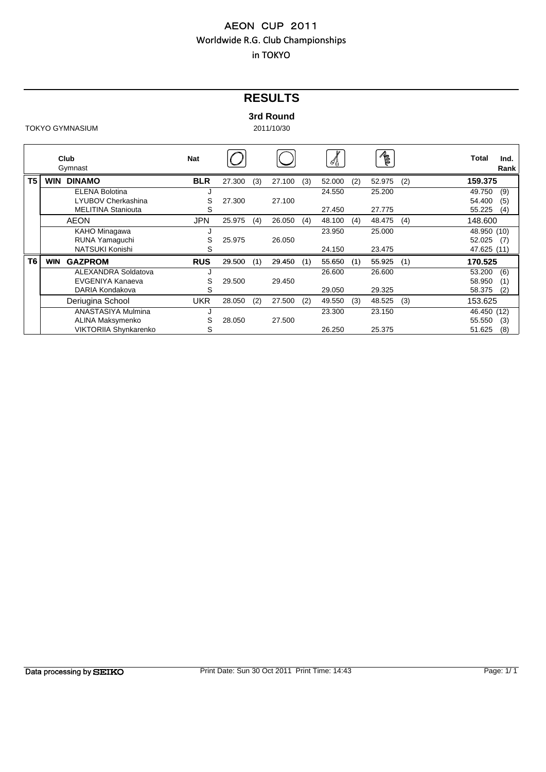## **RESULTS**

#### **3rd Round**

|                | Club<br>Gymnast              | <b>Nat</b> |        |     |        |     | சீ∯    |     | R      |     | Total       | Ind.<br>Rank |
|----------------|------------------------------|------------|--------|-----|--------|-----|--------|-----|--------|-----|-------------|--------------|
| T <sub>5</sub> | <b>DINAMO</b><br><b>WIN</b>  | <b>BLR</b> | 27.300 | (3) | 27.100 | (3) | 52.000 | (2) | 52.975 | (2) | 159.375     |              |
|                | <b>ELENA Bolotina</b>        |            |        |     |        |     | 24.550 |     | 25.200 |     | 49.750      | (9)          |
|                | LYUBOV Cherkashina           | S          | 27.300 |     | 27.100 |     |        |     |        |     | 54.400      | (5)          |
|                | <b>MELITINA Staniouta</b>    | S          |        |     |        |     | 27.450 |     | 27.775 |     | 55.225      | (4)          |
|                | <b>AEON</b>                  | <b>JPN</b> | 25.975 | (4) | 26.050 | (4) | 48.100 | (4) | 48.475 | (4) | 148.600     |              |
|                | KAHO Minagawa                |            |        |     |        |     | 23.950 |     | 25,000 |     | 48.950 (10) |              |
|                | RUNA Yamaguchi               | S          | 25.975 |     | 26.050 |     |        |     |        |     | 52.025      | (7)          |
|                | NATSUKI Konishi              | S          |        |     |        |     | 24.150 |     | 23.475 |     | 47.625 (11) |              |
| T <sub>6</sub> | <b>GAZPROM</b><br><b>WIN</b> | <b>RUS</b> | 29.500 | (1) | 29.450 | (1) | 55.650 | (1) | 55.925 | (1) | 170.525     |              |
|                | ALEXANDRA Soldatova          |            |        |     |        |     | 26.600 |     | 26.600 |     | 53.200      | (6)          |
|                | EVGENIYA Kanaeva             | S          | 29.500 |     | 29.450 |     |        |     |        |     | 58.950      | (1)          |
|                | DARIA Kondakova              | S          |        |     |        |     | 29.050 |     | 29.325 |     | 58.375      | (2)          |
|                | Deriugina School             | UKR        | 28.050 | (2) | 27.500 | (2) | 49.550 | (3) | 48.525 | (3) | 153.625     |              |
|                | ANASTASIYA Mulmina           |            |        |     |        |     | 23.300 |     | 23.150 |     | 46.450 (12) |              |
|                | ALINA Maksymenko             | S          | 28.050 |     | 27.500 |     |        |     |        |     | 55.550      | (3)          |
|                | VIKTORIIA Shynkarenko        | S          |        |     |        |     | 26.250 |     | 25.375 |     | 51.625      | (8)          |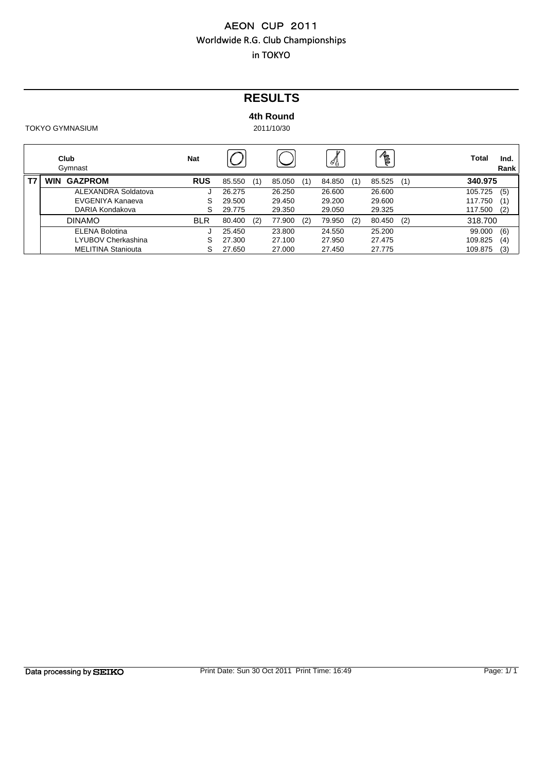## **RESULTS**

### **4th Round**

| Club<br>Gymnast              | <b>Nat</b> |        |     |        |     | ∥β     |     | R      |     | Total   | Ind.<br>Rank |
|------------------------------|------------|--------|-----|--------|-----|--------|-----|--------|-----|---------|--------------|
| <b>GAZPROM</b><br><b>WIN</b> | <b>RUS</b> | 85.550 | (1) | 85.050 | (1) | 84.850 | (1) | 85.525 | (1) | 340.975 |              |
| ALEXANDRA Soldatova          |            | 26.275 |     | 26.250 |     | 26,600 |     | 26.600 |     | 105.725 | (5)          |
| EVGENIYA Kanaeva             | S          | 29.500 |     | 29.450 |     | 29.200 |     | 29.600 |     | 117.750 | (1)          |
| DARIA Kondakova              |            | 29.775 |     | 29.350 |     | 29.050 |     | 29.325 |     | 117.500 | (2)          |
| <b>DINAMO</b>                | <b>BLR</b> | 80.400 | (2) | 77.900 | (2) | 79.950 | (2) | 80.450 | (2) | 318,700 |              |
| <b>ELENA Bolotina</b>        |            | 25.450 |     | 23,800 |     | 24.550 |     | 25.200 |     | 99.000  | (6)          |
| LYUBOV Cherkashina           |            | 27.300 |     | 27.100 |     | 27.950 |     | 27.475 |     | 109.825 | (4)          |
| <b>MELITINA Staniouta</b>    |            | 27.650 |     | 27,000 |     | 27.450 |     | 27.775 |     | 109.875 | (3)          |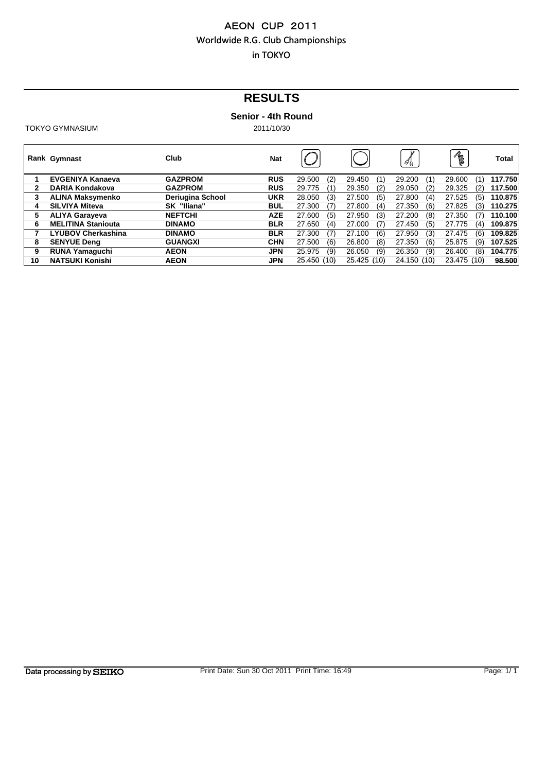# **RESULTS**

### **Senior - 4th Round**

|              | Rank Gymnast              | Club             | <b>Nat</b> |                |                | 4              | R             | Total   |
|--------------|---------------------------|------------------|------------|----------------|----------------|----------------|---------------|---------|
|              | <b>EVGENIYA Kanaeva</b>   | <b>GAZPROM</b>   | <b>RUS</b> | (2)<br>29.500  | 29.450<br>(1)  | 29.200<br>(1)  | 29.600<br>(1) | 117.750 |
| $\mathbf{2}$ | DARIA Kondakova           | <b>GAZPROM</b>   | <b>RUS</b> | 29.775<br>(1)  | 29.350<br>(2)  | (2)<br>29.050  | 29.325<br>(2) | 117.500 |
| 3            | <b>ALINA Maksymenko</b>   | Deriugina School | <b>UKR</b> | 28.050<br>(3)  | (5)<br>27.500  | 27.800<br>(4)  | 27.525<br>(5) | 110.875 |
| 4            | <b>SILVIYA Miteva</b>     | SK "Iliana"      | <b>BUL</b> | (7)<br>27.300  | (4)<br>27.800  | (6)<br>27.350  | 27.825<br>(3) | 110.275 |
| 5            | <b>ALIYA Garayeva</b>     | <b>NEFTCHI</b>   | <b>AZE</b> | (5)<br>27.600  | (3)<br>27.950  | (8)<br>27.200  | 27.350<br>(7) | 110.100 |
| 6            | <b>MELITINA Staniouta</b> | <b>DINAMO</b>    | <b>BLR</b> | 27.650<br>(4)  | (7)<br>27.000  | (5)<br>27.450  | 27.775<br>(4) | 109.875 |
|              | <b>LYUBOV Cherkashina</b> | <b>DINAMO</b>    | <b>BLR</b> | (7)<br>27.300  | (6)<br>27.100  | (3)<br>27.950  | 27.475<br>(6) | 109.825 |
| 8            | <b>SENYUE Dena</b>        | <b>GUANGXI</b>   | <b>CHN</b> | (6)<br>27.500  | (8)<br>26,800  | (6)<br>27.350  | 25.875<br>(9) | 107.525 |
| 9            | <b>RUNA Yamaquchi</b>     | <b>AEON</b>      | <b>JPN</b> | (9)<br>25.975  | (9)<br>26.050  | (9)<br>26.350  | 26.400<br>(8) | 104.775 |
| 10           | <b>NATSUKI Konishi</b>    | <b>AEON</b>      | <b>JPN</b> | 25.450<br>(10) | 25.425<br>(10) | 24.150<br>(10) | 23.475 (10)   | 98.500  |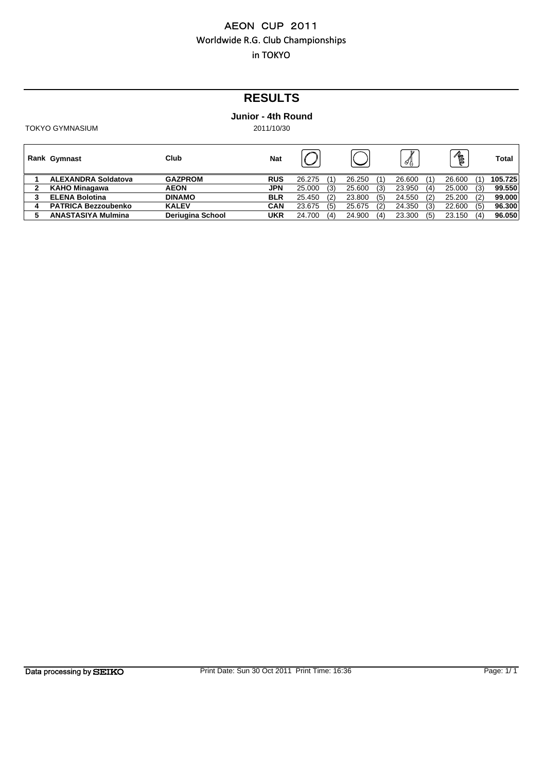# **RESULTS**

### **Junior - 4th Round**

| <b>Rank Gymnast</b>        | Club                    | <b>Nat</b> |        |     |        |     | ` 4}   |     | R      |     | Total   |
|----------------------------|-------------------------|------------|--------|-----|--------|-----|--------|-----|--------|-----|---------|
| <b>ALEXANDRA Soldatova</b> | <b>GAZPROM</b>          | <b>RUS</b> | 26.275 | (1) | 26.250 |     | 26.600 | (1) | 26.600 | (1) | 105.725 |
| <b>KAHO Minagawa</b>       | <b>AEON</b>             | <b>JPN</b> | 25,000 | (3) | 25.600 | (3) | 23.950 | (4) | 25.000 | (3) | 99.550  |
| <b>ELENA Bolotina</b>      | <b>DINAMO</b>           | <b>BLR</b> | 25.450 | (2) | 23,800 | (5) | 24.550 | (2) | 25.200 | (2) | 99.000  |
| <b>PATRICA Bezzoubenko</b> | <b>KALEV</b>            | <b>CAN</b> | 23.675 | (5) | 25.675 | (2) | 24.350 | (3) | 22.600 | (5) | 96.300  |
| <b>ANASTASIYA Mulmina</b>  | <b>Deriugina School</b> | UKR        | 24.700 | (4) | 24.900 | (4) | 23.300 | (5) | 23.150 | (4) | 96.050  |